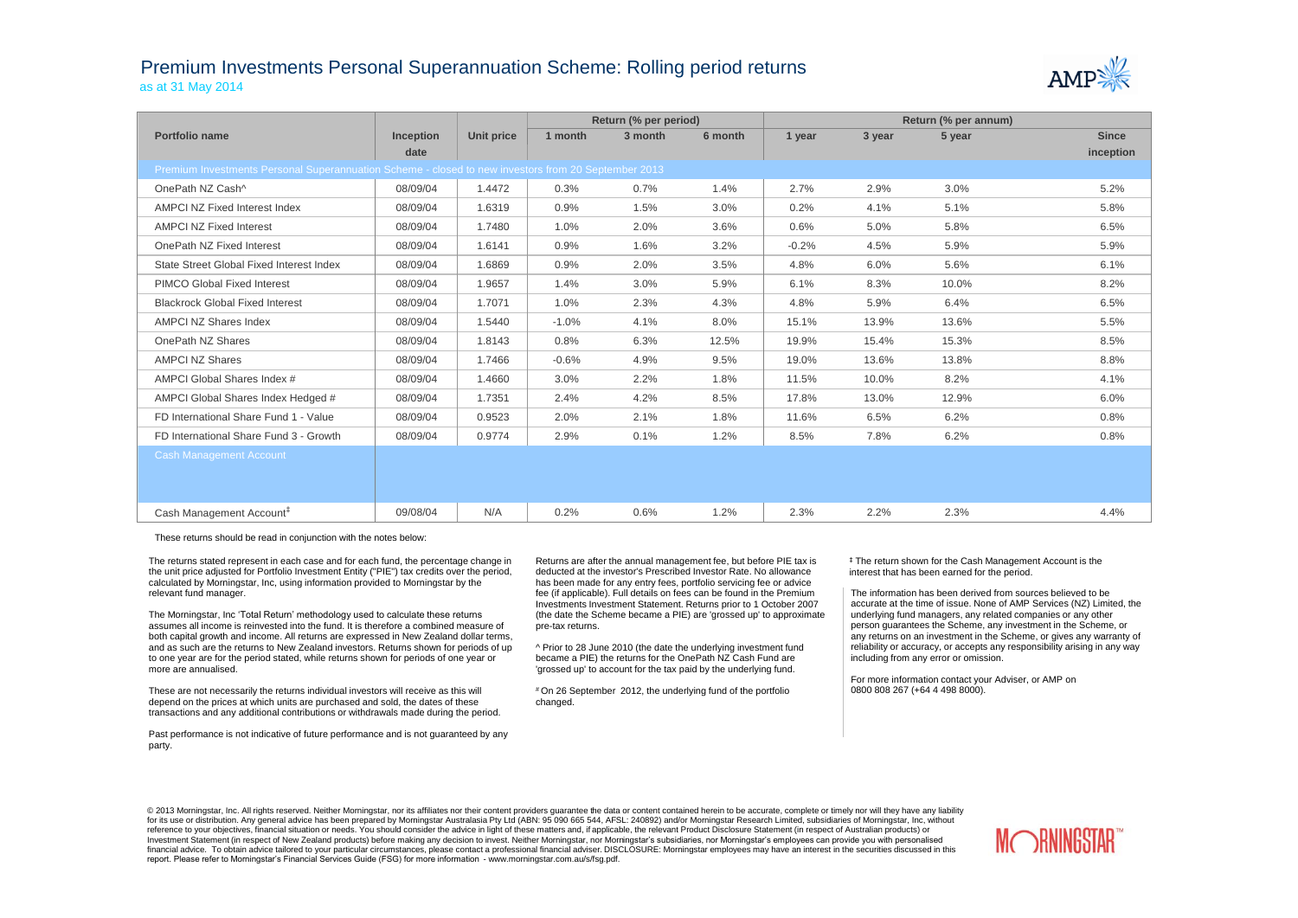## Premium Investments Personal Superannuation Scheme: Rolling period returns as at 31 May 2014



|                                                                                                     |           |            |         | Return (% per period) |         | Return (% per annum) |        |        |              |
|-----------------------------------------------------------------------------------------------------|-----------|------------|---------|-----------------------|---------|----------------------|--------|--------|--------------|
| Portfolio name                                                                                      | Inception | Unit price | 1 month | 3 month               | 6 month | 1 year               | 3 year | 5 year | <b>Since</b> |
|                                                                                                     | date      |            |         |                       |         |                      |        |        | inception    |
| Premium Investments Personal Superannuation Scheme - closed to new investors from 20 September 2013 |           |            |         |                       |         |                      |        |        |              |
| OnePath NZ Cash^                                                                                    | 08/09/04  | 1.4472     | 0.3%    | 0.7%                  | 1.4%    | 2.7%                 | 2.9%   | 3.0%   | 5.2%         |
| <b>AMPCI NZ Fixed Interest Index</b>                                                                | 08/09/04  | 1.6319     | 0.9%    | 1.5%                  | 3.0%    | 0.2%                 | 4.1%   | 5.1%   | 5.8%         |
| <b>AMPCI NZ Fixed Interest</b>                                                                      | 08/09/04  | 1.7480     | 1.0%    | 2.0%                  | 3.6%    | 0.6%                 | 5.0%   | 5.8%   | 6.5%         |
| OnePath NZ Fixed Interest                                                                           | 08/09/04  | 1.6141     | 0.9%    | 1.6%                  | 3.2%    | $-0.2%$              | 4.5%   | 5.9%   | 5.9%         |
| State Street Global Fixed Interest Index                                                            | 08/09/04  | 1.6869     | 0.9%    | 2.0%                  | 3.5%    | 4.8%                 | 6.0%   | 5.6%   | 6.1%         |
| <b>PIMCO Global Fixed Interest</b>                                                                  | 08/09/04  | 1.9657     | 1.4%    | 3.0%                  | 5.9%    | 6.1%                 | 8.3%   | 10.0%  | 8.2%         |
| <b>Blackrock Global Fixed Interest</b>                                                              | 08/09/04  | 1.7071     | 1.0%    | 2.3%                  | 4.3%    | 4.8%                 | 5.9%   | 6.4%   | 6.5%         |
| <b>AMPCI NZ Shares Index</b>                                                                        | 08/09/04  | 1.5440     | $-1.0%$ | 4.1%                  | 8.0%    | 15.1%                | 13.9%  | 13.6%  | 5.5%         |
| OnePath NZ Shares                                                                                   | 08/09/04  | 1.8143     | 0.8%    | 6.3%                  | 12.5%   | 19.9%                | 15.4%  | 15.3%  | 8.5%         |
| <b>AMPCI NZ Shares</b>                                                                              | 08/09/04  | 1.7466     | $-0.6%$ | 4.9%                  | 9.5%    | 19.0%                | 13.6%  | 13.8%  | 8.8%         |
| AMPCI Global Shares Index #                                                                         | 08/09/04  | 1.4660     | 3.0%    | 2.2%                  | 1.8%    | 11.5%                | 10.0%  | 8.2%   | 4.1%         |
| AMPCI Global Shares Index Hedged #                                                                  | 08/09/04  | 1.7351     | 2.4%    | 4.2%                  | 8.5%    | 17.8%                | 13.0%  | 12.9%  | 6.0%         |
| FD International Share Fund 1 - Value                                                               | 08/09/04  | 0.9523     | 2.0%    | 2.1%                  | 1.8%    | 11.6%                | 6.5%   | 6.2%   | 0.8%         |
| FD International Share Fund 3 - Growth                                                              | 08/09/04  | 0.9774     | 2.9%    | 0.1%                  | 1.2%    | 8.5%                 | 7.8%   | 6.2%   | 0.8%         |
| <b>Cash Management Account</b>                                                                      |           |            |         |                       |         |                      |        |        |              |
|                                                                                                     |           |            |         |                       |         |                      |        |        |              |
|                                                                                                     |           |            |         |                       |         |                      |        |        |              |
| Cash Management Account <sup>#</sup>                                                                | 09/08/04  | N/A        | 0.2%    | 0.6%                  | 1.2%    | 2.3%                 | 2.2%   | 2.3%   | 4.4%         |

These returns should be read in conjunction with the notes below:

The returns stated represent in each case and for each fund, the percentage change in the unit price adjusted for Portfolio Investment Entity ("PIE") tax credits over the period, calculated by Morningstar, Inc, using information provided to Morningstar by the relevant fund manager.

The Morningstar, Inc 'Total Return' methodology used to calculate these returns assumes all income is reinvested into the fund. It is therefore a combined measure of both capital growth and income. All returns are expressed in New Zealand dollar terms, and as such are the returns to New Zealand investors. Returns shown for periods of up to one year are for the period stated, while returns shown for periods of one year or more are annualised.

These are not necessarily the returns individual investors will receive as this will depend on the prices at which units are purchased and sold, the dates of these transactions and any additional contributions or withdrawals made during the period.

Past performance is not indicative of future performance and is not guaranteed by any party.

Returns are after the annual management fee, but before PIE tax is deducted at the investor's Prescribed Investor Rate. No allowance has been made for any entry fees, portfolio servicing fee or advice fee (if applicable). Full details on fees can be found in the Premium Investments Investment Statement. Returns prior to 1 October 2007 (the date the Scheme became a PIE) are 'grossed up' to approximate pre-tax returns.

^ Prior to 28 June 2010 (the date the underlying investment fund became a PIE) the returns for the OnePath NZ Cash Fund are 'grossed up' to account for the tax paid by the underlying fund.

# On 26 September 2012, the underlying fund of the portfolio changed.

‡ The return shown for the Cash Management Account is the interest that has been earned for the period.

The information has been derived from sources believed to be accurate at the time of issue. None of AMP Services (NZ) Limited, the underlying fund managers, any related companies or any other person guarantees the Scheme, any investment in the Scheme, or any returns on an investment in the Scheme, or gives any warranty of reliability or accuracy, or accepts any responsibility arising in any way including from any error or omission.

For more information contact your Adviser, or AMP on 0800 808 267 (+64 4 498 8000).

© 2013 Morningstar, Inc. All rights reserved. Neither Morningstar, nor its affiliates nor their content providers quarantee the data or content contained herein to be accurate, complete or timely nor will they have any lia for its use or distribution. Any general advice has been prepared by Morningstar Australasia Pty Ltd (ABN: 95 090 665 544, AFSL: 240892) and/or Morningstar Research Limited, subsidiaries of Morningstar, Inc, without reference to your objectives, financial situation or needs. You should consider the advice in light of these matters and, if applicable, the relevant Product Disclosure Statement (in respect of Australian products) or Investment Statement (in respect of New Zealand products) before making any decision to invest. Neither Morningstar, nor Morningstar's subsidiaries, nor Morningstar's employees can provide you with personalised financial advice. To obtain advice tailored to your particular circumstances, please contact a professional financial adviser. DISCLOSURE: Morningstar employees may have an interest in the securities discussed in this report. Please refer to Morningstar's Financial Services Guide (FSG) for more information - www.morningstar.com.au/s/fsg.pdf.